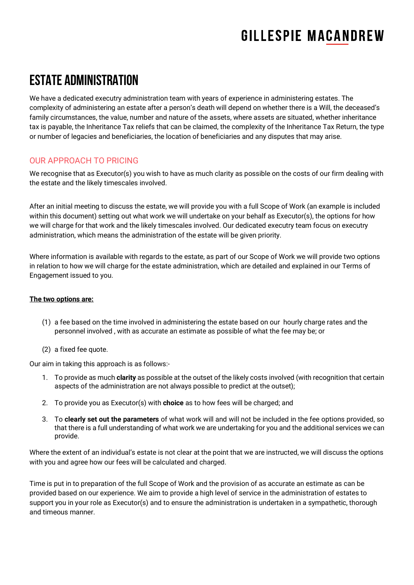### Estate Administration

We have a dedicated executry administration team with years of experience in administering estates. The complexity of administering an estate after a person's death will depend on whether there is a Will, the deceased's family circumstances, the value, number and nature of the assets, where assets are situated, whether inheritance tax is payable, the Inheritance Tax reliefs that can be claimed, the complexity of the Inheritance Tax Return, the type or number of legacies and beneficiaries, the location of beneficiaries and any disputes that may arise.

### OUR APPROACH TO PRICING

We recognise that as Executor(s) you wish to have as much clarity as possible on the costs of our firm dealing with the estate and the likely timescales involved.

After an initial meeting to discuss the estate, we will provide you with a full Scope of Work (an example is included within this document) setting out what work we will undertake on your behalf as Executor(s), the options for how we will charge for that work and the likely timescales involved. Our dedicated executry team focus on executry administration, which means the administration of the estate will be given priority.

Where information is available with regards to the estate, as part of our Scope of Work we will provide two options in relation to how we will charge for the estate administration, which are detailed and explained in our Terms of Engagement issued to you.

#### **The two options are:**

- (1) a fee based on the time involved in administering the estate based on our hourly charge rates and the personnel involved , with as accurate an estimate as possible of what the fee may be; or
- (2) a fixed fee quote.

Our aim in taking this approach is as follows:-

- 1. To provide as much **clarity** as possible at the outset of the likely costs involved (with recognition that certain aspects of the administration are not always possible to predict at the outset);
- 2. To provide you as Executor(s) with **choice** as to how fees will be charged; and
- 3. To **clearly set out the parameters** of what work will and will not be included in the fee options provided, so that there is a full understanding of what work we are undertaking for you and the additional services we can provide.

Where the extent of an individual's estate is not clear at the point that we are instructed, we will discuss the options with you and agree how our fees will be calculated and charged.

Time is put in to preparation of the full Scope of Work and the provision of as accurate an estimate as can be provided based on our experience. We aim to provide a high level of service in the administration of estates to support you in your role as Executor(s) and to ensure the administration is undertaken in a sympathetic, thorough and timeous manner.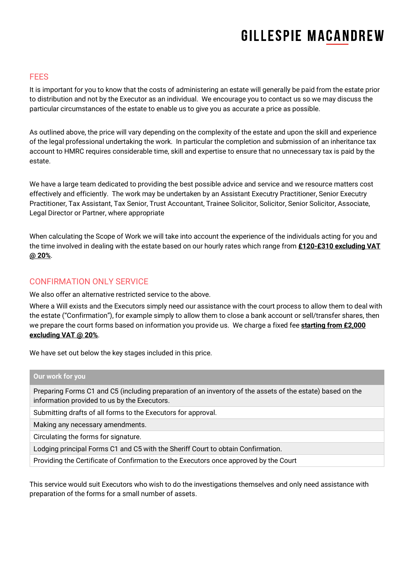#### **FFFS**

It is important for you to know that the costs of administering an estate will generally be paid from the estate prior to distribution and not by the Executor as an individual. We encourage you to contact us so we may discuss the particular circumstances of the estate to enable us to give you as accurate a price as possible.

As outlined above, the price will vary depending on the complexity of the estate and upon the skill and experience of the legal professional undertaking the work. In particular the completion and submission of an inheritance tax account to HMRC requires considerable time, skill and expertise to ensure that no unnecessary tax is paid by the estate.

We have a large team dedicated to providing the best possible advice and service and we resource matters cost effectively and efficiently. The work may be undertaken by an Assistant Executry Practitioner, Senior Executry Practitioner, Tax Assistant, Tax Senior, Trust Accountant, Trainee Solicitor, Solicitor, Senior Solicitor, Associate, Legal Director or Partner, where appropriate

When calculating the Scope of Work we will take into account the experience of the individuals acting for you and the time involved in dealing with the estate based on our hourly rates which range from **£120-£310 excluding VAT @ 20%**.

#### CONFIRMATION ONLY SERVICE

We also offer an alternative restricted service to the above.

Where a Will exists and the Executors simply need our assistance with the court process to allow them to deal with the estate ("Confirmation"), for example simply to allow them to close a bank account or sell/transfer shares, then we prepare the court forms based on information you provide us. We charge a fixed fee **starting from £2,000 excluding VAT @ 20%**.

We have set out below the key stages included in this price.

#### **Our work for you**

Preparing Forms C1 and C5 (including preparation of an inventory of the assets of the estate) based on the information provided to us by the Executors.

Submitting drafts of all forms to the Executors for approval.

Making any necessary amendments.

Circulating the forms for signature.

Lodging principal Forms C1 and C5 with the Sheriff Court to obtain Confirmation.

Providing the Certificate of Confirmation to the Executors once approved by the Court

This service would suit Executors who wish to do the investigations themselves and only need assistance with preparation of the forms for a small number of assets.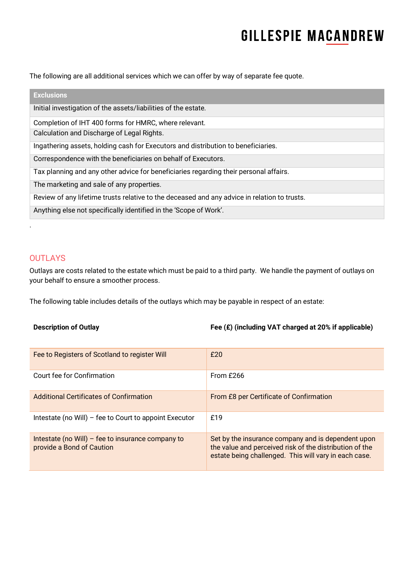The following are all additional services which we can offer by way of separate fee quote.

| <b>Exclusions</b>                                                                            |
|----------------------------------------------------------------------------------------------|
| Initial investigation of the assets/liabilities of the estate.                               |
| Completion of IHT 400 forms for HMRC, where relevant.                                        |
| Calculation and Discharge of Legal Rights.                                                   |
| Ingathering assets, holding cash for Executors and distribution to beneficiaries.            |
| Correspondence with the beneficiaries on behalf of Executors.                                |
| Tax planning and any other advice for beneficiaries regarding their personal affairs.        |
| The marketing and sale of any properties.                                                    |
| Review of any lifetime trusts relative to the deceased and any advice in relation to trusts. |
| Anything else not specifically identified in the 'Scope of Work'.                            |

### **OUTLAYS**

.

Outlays are costs related to the estate which must be paid to a third party. We handle the payment of outlays on your behalf to ensure a smoother process.

The following table includes details of the outlays which may be payable in respect of an estate:

**Description of Outlay Fee (£) (including VAT charged at 20% if applicable)**

| Fee to Registers of Scotland to register Will                                  | f20                                                                                                                                                                    |
|--------------------------------------------------------------------------------|------------------------------------------------------------------------------------------------------------------------------------------------------------------------|
| Court fee for Confirmation                                                     | From £266                                                                                                                                                              |
| Additional Certificates of Confirmation                                        | From £8 per Certificate of Confirmation                                                                                                                                |
| Intestate (no Will) – fee to Court to appoint Executor                         | £19                                                                                                                                                                    |
| Intestate (no Will) - fee to insurance company to<br>provide a Bond of Caution | Set by the insurance company and is dependent upon<br>the value and perceived risk of the distribution of the<br>estate being challenged. This will vary in each case. |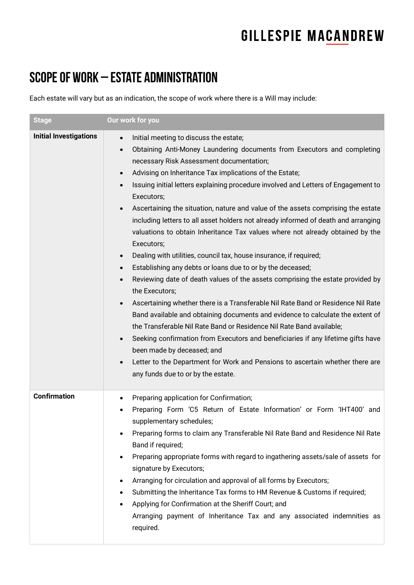### SCOPE OF WORK – ESTATE ADMINISTRATION

Each estate will vary but as an indication, the scope of work where there is a Will may include:

| <b>Stage</b>                  | Our work for you                                                                                                                                                                                                                                                                                                                                                                                                                                                                                                                                                                                                                                                                                                                                                                                                                                                                                                                                                                                                                                                                                                                                                                                                                                                                                                                                                                                                                                                       |
|-------------------------------|------------------------------------------------------------------------------------------------------------------------------------------------------------------------------------------------------------------------------------------------------------------------------------------------------------------------------------------------------------------------------------------------------------------------------------------------------------------------------------------------------------------------------------------------------------------------------------------------------------------------------------------------------------------------------------------------------------------------------------------------------------------------------------------------------------------------------------------------------------------------------------------------------------------------------------------------------------------------------------------------------------------------------------------------------------------------------------------------------------------------------------------------------------------------------------------------------------------------------------------------------------------------------------------------------------------------------------------------------------------------------------------------------------------------------------------------------------------------|
| <b>Initial Investigations</b> | Initial meeting to discuss the estate;<br>$\bullet$<br>Obtaining Anti-Money Laundering documents from Executors and completing<br>$\bullet$<br>necessary Risk Assessment documentation;<br>Advising on Inheritance Tax implications of the Estate;<br>$\bullet$<br>Issuing initial letters explaining procedure involved and Letters of Engagement to<br>$\bullet$<br>Executors;<br>Ascertaining the situation, nature and value of the assets comprising the estate<br>including letters to all asset holders not already informed of death and arranging<br>valuations to obtain Inheritance Tax values where not already obtained by the<br>Executors;<br>Dealing with utilities, council tax, house insurance, if required;<br>$\bullet$<br>Establishing any debts or loans due to or by the deceased;<br>$\bullet$<br>Reviewing date of death values of the assets comprising the estate provided by<br>$\bullet$<br>the Executors;<br>Ascertaining whether there is a Transferable Nil Rate Band or Residence Nil Rate<br>$\bullet$<br>Band available and obtaining documents and evidence to calculate the extent of<br>the Transferable Nil Rate Band or Residence Nil Rate Band available;<br>Seeking confirmation from Executors and beneficiaries if any lifetime gifts have<br>$\bullet$<br>been made by deceased; and<br>Letter to the Department for Work and Pensions to ascertain whether there are<br>$\bullet$<br>any funds due to or by the estate. |
| <b>Confirmation</b>           | Preparing application for Confirmation;<br>٠<br>Preparing Form 'C5 Return of Estate Information' or Form 'IHT400' and<br>supplementary schedules;<br>Preparing forms to claim any Transferable Nil Rate Band and Residence Nil Rate<br>Band if required;<br>Preparing appropriate forms with regard to ingathering assets/sale of assets for<br>$\bullet$<br>signature by Executors;<br>Arranging for circulation and approval of all forms by Executors;<br>٠<br>Submitting the Inheritance Tax forms to HM Revenue & Customs if required;<br>٠<br>Applying for Confirmation at the Sheriff Court; and<br>Arranging payment of Inheritance Tax and any associated indemnities as<br>required.                                                                                                                                                                                                                                                                                                                                                                                                                                                                                                                                                                                                                                                                                                                                                                         |